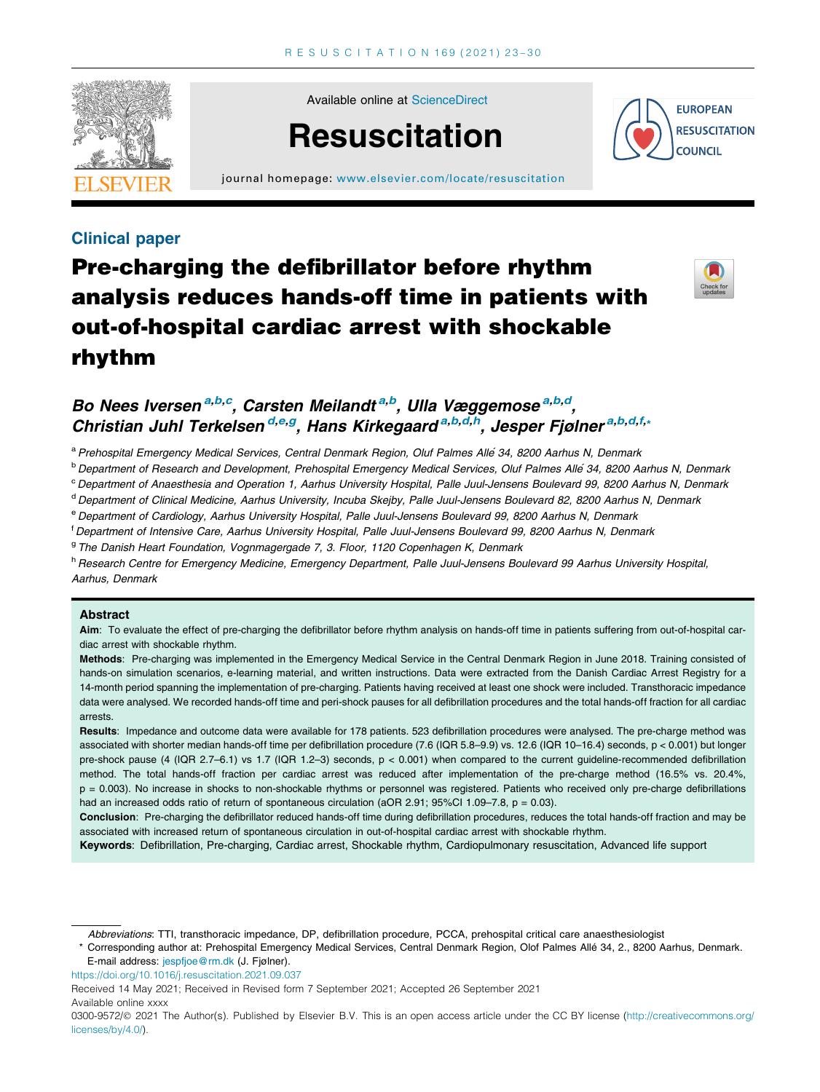

Available online at [ScienceDirect](http://www.sciencedirect.com/science/journal/03009572)



journal homepage: [www.elsevier.com/locate/resuscitation](http://www.elsevier.com/locate/resuscitation)



# Clinical paper

# Pre-charging the defibrillator before rhythm analysis reduces hands-off time in patients with out-of-hospital cardiac arrest with shockable rhythm



# Bo Nees Iversen<sup>a,b,c</sup>, Carsten Meilandt<sup>a,b</sup>, Ulla Væggemose<sup>a,b,d</sup>, Christian Juhl Terkelsen<sup>d,e,g</sup>, Hans Kirkegaard<sup>a,b,d,h</sup>, Jesper Fjølner<sup>a,b,d,f,</sup>\*

a Prehospital Emergency Medical Services, Central Denmark Region, Oluf Palmes Alle 34, 8200 Aarhus N, Denmark

<sup>b</sup> Department of Research and Development, Prehospital Emergency Medical Services, Oluf Palmes Allé 34, 8200 Aarhus N, Denmark

<sup>c</sup> Department of Anaesthesia and Operation 1, Aarhus University Hospital, Palle Juul-Jensens Boulevard 99, 8200 Aarhus N, Denmark

<sup>d</sup> Department of Clinical Medicine, Aarhus University, Incuba Skejby, Palle Juul-Jensens Boulevard 82, 8200 Aarhus N, Denmark

e Department of Cardiology, Aarhus University Hospital, Palle Juul-Jensens Boulevard 99, 8200 Aarhus N, Denmark

f Department of Intensive Care, Aarhus University Hospital, Palle Juul-Jensens Boulevard 99, 8200 Aarhus N, Denmark

<sup>g</sup> The Danish Heart Foundation, Vognmagergade 7, 3. Floor, 1120 Copenhagen K, Denmark

h Research Centre for Emergency Medicine, Emergency Department, Palle Juul-Jensens Boulevard 99 Aarhus University Hospital, Aarhus, Denmark

# Abstract

Aim: To evaluate the effect of pre-charging the defibrillator before rhythm analysis on hands-off time in patients suffering from out-of-hospital cardiac arrest with shockable rhythm.

Methods: Pre-charging was implemented in the Emergency Medical Service in the Central Denmark Region in June 2018. Training consisted of hands-on simulation scenarios, e-learning material, and written instructions. Data were extracted from the Danish Cardiac Arrest Registry for a 14-month period spanning the implementation of pre-charging. Patients having received at least one shock were included. Transthoracic impedance data were analysed. We recorded hands-off time and peri-shock pauses for all defibrillation procedures and the total hands-off fraction for all cardiac arrests.

Results: Impedance and outcome data were available for 178 patients. 523 defibrillation procedures were analysed. The pre-charge method was associated with shorter median hands-off time per defibrillation procedure (7.6 (IQR 5.8–9.9) vs. 12.6 (IQR 10–16.4) seconds, p < 0.001) but longer pre-shock pause (4 (IQR 2.7–6.1) vs 1.7 (IQR 1.2–3) seconds, p < 0.001) when compared to the current guideline-recommended defibrillation method. The total hands-off fraction per cardiac arrest was reduced after implementation of the pre-charge method (16.5% vs. 20.4%, p = 0.003). No increase in shocks to non-shockable rhythms or personnel was registered. Patients who received only pre-charge defibrillations had an increased odds ratio of return of spontaneous circulation (aOR 2.91; 95%CI 1.09-7.8, p = 0.03).

Conclusion: Pre-charging the defibrillator reduced hands-off time during defibrillation procedures, reduces the total hands-off fraction and may be associated with increased return of spontaneous circulation in out-of-hospital cardiac arrest with shockable rhythm.

Keywords: Defibrillation, Pre-charging, Cardiac arrest, Shockable rhythm, Cardiopulmonary resuscitation, Advanced life support

Abbreviations: TTI, transthoracic impedance, DP, defibrillation procedure, PCCA, prehospital critical care anaesthesiologist

\* Corresponding author at: Prehospital Emergency Medical Services, Central Denmark Region, Olof Palmes Alle´ 34, 2., 8200 Aarhus, Denmark. E-mail address: [jespfjoe@rm.dk](mailto:jespfjoe@rm.dk) (J. Fjølner).

<https://doi.org/10.1016/j.resuscitation.2021.09.037>

Available online xxxx

Received 14 May 2021; Received in Revised form 7 September 2021; Accepted 26 September 2021

<sup>0300-9572/@ 2021</sup> The Author(s). Published by Elsevier B.V. This is an open access article under the CC BY license [\(http://creativecommons.org/](http://creativecommons.org/licenses/by/4.0/) [licenses/by/4.0/](http://creativecommons.org/licenses/by/4.0/)).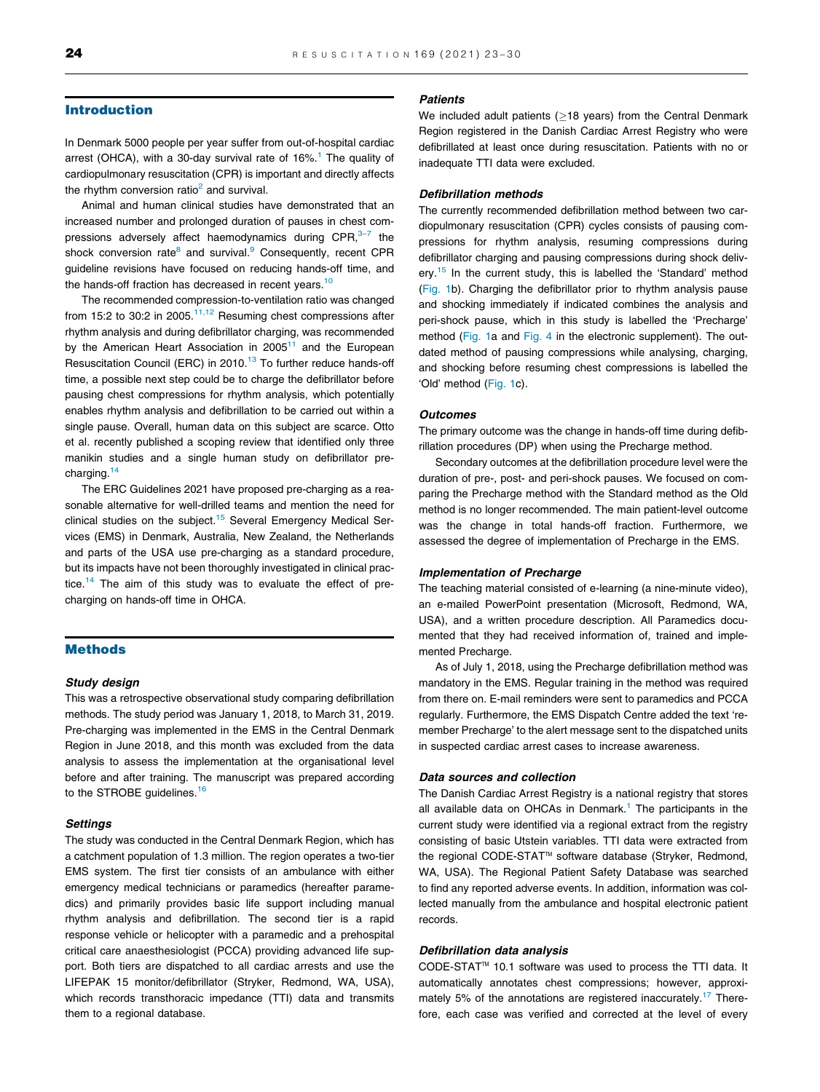# Introduction

In Denmark 5000 people per year suffer from out-of-hospital cardiac arrest (OHCA), with a 30-day survival rate of  $16\%$  $16\%$ .<sup>1</sup> The quality of cardiopulmonary resuscitation (CPR) is important and directly affects the rhythm conversion ratio<sup>2</sup> and survival.

Animal and human clinical studies have demonstrated that an increased number and prolonged duration of pauses in chest compressions adversely affect haemodynamics during  $\text{CPR}$ ,  $3\overline{4}$  the shock conversion rate $8$  and survival. $9$  Consequently, recent CPR guideline revisions have focused on reducing hands-off time, and the hands-off fraction has decreased in recent years.<sup>10</sup>

The recommended compression-to-ventilation ratio was changed from 15:2 to 30:2 in 2005.<sup>[11,12](#page-6-0)</sup> Resuming chest compressions after rhythm analysis and during defibrillator charging, was recommended by the American Heart Association in 2005<sup>[11](#page-6-0)</sup> and the European Resuscitation Council (ERC) in 2010.<sup>[13](#page-6-0)</sup> To further reduce hands-off time, a possible next step could be to charge the defibrillator before pausing chest compressions for rhythm analysis, which potentially enables rhythm analysis and defibrillation to be carried out within a single pause. Overall, human data on this subject are scarce. Otto et al. recently published a scoping review that identified only three manikin studies and a single human study on defibrillator pre-charging.<sup>[14](#page-6-0)</sup>

The ERC Guidelines 2021 have proposed pre-charging as a reasonable alternative for well-drilled teams and mention the need for clinical studies on the subject.<sup>[15](#page-7-0)</sup> Several Emergency Medical Services (EMS) in Denmark, Australia, New Zealand, the Netherlands and parts of the USA use pre-charging as a standard procedure, but its impacts have not been thoroughly investigated in clinical prac-tice.<sup>[14](#page-6-0)</sup> The aim of this study was to evaluate the effect of precharging on hands-off time in OHCA.

# Methods

#### Study design

This was a retrospective observational study comparing defibrillation methods. The study period was January 1, 2018, to March 31, 2019. Pre-charging was implemented in the EMS in the Central Denmark Region in June 2018, and this month was excluded from the data analysis to assess the implementation at the organisational level before and after training. The manuscript was prepared according to the STROBE guidelines.<sup>[16](#page-7-0)</sup>

#### **Settings**

The study was conducted in the Central Denmark Region, which has a catchment population of 1.3 million. The region operates a two-tier EMS system. The first tier consists of an ambulance with either emergency medical technicians or paramedics (hereafter paramedics) and primarily provides basic life support including manual rhythm analysis and defibrillation. The second tier is a rapid response vehicle or helicopter with a paramedic and a prehospital critical care anaesthesiologist (PCCA) providing advanced life support. Both tiers are dispatched to all cardiac arrests and use the LIFEPAK 15 monitor/defibrillator (Stryker, Redmond, WA, USA), which records transthoracic impedance (TTI) data and transmits them to a regional database.

#### **Patients**

We included adult patients ( $\geq$ 18 years) from the Central Denmark Region registered in the Danish Cardiac Arrest Registry who were defibrillated at least once during resuscitation. Patients with no or inadequate TTI data were excluded.

# Defibrillation methods

The currently recommended defibrillation method between two cardiopulmonary resuscitation (CPR) cycles consists of pausing compressions for rhythm analysis, resuming compressions during defibrillator charging and pausing compressions during shock deliv-ery.<sup>[15](#page-7-0)</sup> In the current study, this is labelled the 'Standard' method ([Fig. 1](#page-2-0)b). Charging the defibrillator prior to rhythm analysis pause and shocking immediately if indicated combines the analysis and peri-shock pause, which in this study is labelled the 'Precharge' method [\(Fig. 1a](#page-2-0) and Fig. 4 in the electronic supplement). The outdated method of pausing compressions while analysing, charging, and shocking before resuming chest compressions is labelled the 'Old' method ([Fig. 1c](#page-2-0)).

#### **Outcomes**

The primary outcome was the change in hands-off time during defibrillation procedures (DP) when using the Precharge method.

Secondary outcomes at the defibrillation procedure level were the duration of pre-, post- and peri-shock pauses. We focused on comparing the Precharge method with the Standard method as the Old method is no longer recommended. The main patient-level outcome was the change in total hands-off fraction. Furthermore, we assessed the degree of implementation of Precharge in the EMS.

# Implementation of Precharge

The teaching material consisted of e-learning (a nine-minute video), an e-mailed PowerPoint presentation (Microsoft, Redmond, WA, USA), and a written procedure description. All Paramedics documented that they had received information of, trained and implemented Precharge.

As of July 1, 2018, using the Precharge defibrillation method was mandatory in the EMS. Regular training in the method was required from there on. E-mail reminders were sent to paramedics and PCCA regularly. Furthermore, the EMS Dispatch Centre added the text 'remember Precharge' to the alert message sent to the dispatched units in suspected cardiac arrest cases to increase awareness.

#### Data sources and collection

The Danish Cardiac Arrest Registry is a national registry that stores all available data on OHCAs in Denmark.<sup>[1](#page-6-0)</sup> The participants in the current study were identified via a regional extract from the registry consisting of basic Utstein variables. TTI data were extracted from the regional CODE-STAT<sup>™</sup> software database (Stryker, Redmond, WA, USA). The Regional Patient Safety Database was searched to find any reported adverse events. In addition, information was collected manually from the ambulance and hospital electronic patient records.

# Defibrillation data analysis

CODE-STAT<sup>™</sup> 10.1 software was used to process the TTI data. It automatically annotates chest compressions; however, approximately 5% of the annotations are registered inaccurately.<sup>17</sup> Therefore, each case was verified and corrected at the level of every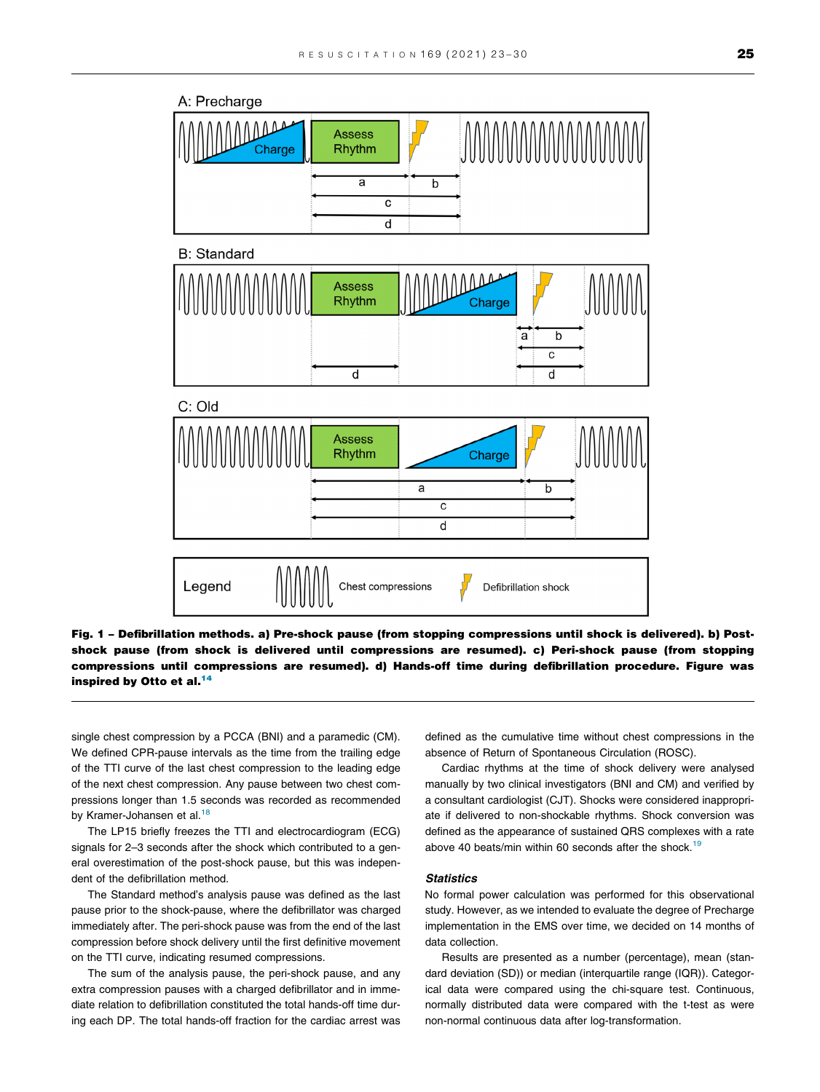<span id="page-2-0"></span>

Fig. 1 – Defibrillation methods. a) Pre-shock pause (from stopping compressions until shock is delivered). b) Postshock pause (from shock is delivered until compressions are resumed). c) Peri-shock pause (from stopping compressions until compressions are resumed). d) Hands-off time during defibrillation procedure. Figure was inspired by Otto et al.<sup>14</sup>

single chest compression by a PCCA (BNI) and a paramedic (CM). We defined CPR-pause intervals as the time from the trailing edge of the TTI curve of the last chest compression to the leading edge of the next chest compression. Any pause between two chest compressions longer than 1.5 seconds was recorded as recommended by Kramer-Johansen et al.<sup>18</sup>

The LP15 briefly freezes the TTI and electrocardiogram (ECG) signals for 2–3 seconds after the shock which contributed to a general overestimation of the post-shock pause, but this was independent of the defibrillation method.

The Standard method's analysis pause was defined as the last pause prior to the shock-pause, where the defibrillator was charged immediately after. The peri-shock pause was from the end of the last compression before shock delivery until the first definitive movement on the TTI curve, indicating resumed compressions.

The sum of the analysis pause, the peri-shock pause, and any extra compression pauses with a charged defibrillator and in immediate relation to defibrillation constituted the total hands-off time during each DP. The total hands-off fraction for the cardiac arrest was defined as the cumulative time without chest compressions in the absence of Return of Spontaneous Circulation (ROSC).

Cardiac rhythms at the time of shock delivery were analysed manually by two clinical investigators (BNI and CM) and verified by a consultant cardiologist (CJT). Shocks were considered inappropriate if delivered to non-shockable rhythms. Shock conversion was defined as the appearance of sustained QRS complexes with a rate above 40 beats/min within 60 seconds after the shock.<sup>19</sup>

#### **Statistics**

No formal power calculation was performed for this observational study. However, as we intended to evaluate the degree of Precharge implementation in the EMS over time, we decided on 14 months of data collection.

Results are presented as a number (percentage), mean (standard deviation (SD)) or median (interquartile range (IQR)). Categorical data were compared using the chi-square test. Continuous, normally distributed data were compared with the t-test as were non-normal continuous data after log-transformation.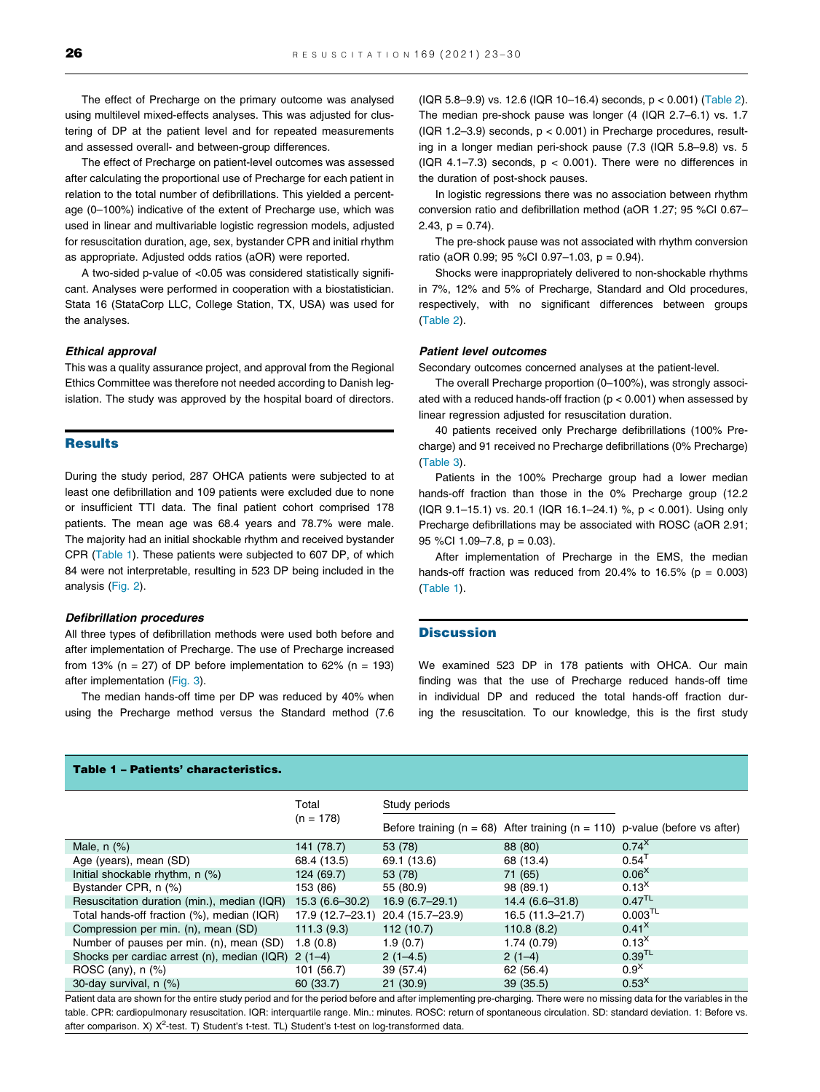The effect of Precharge on the primary outcome was analysed using multilevel mixed-effects analyses. This was adjusted for clustering of DP at the patient level and for repeated measurements and assessed overall- and between-group differences.

The effect of Precharge on patient-level outcomes was assessed after calculating the proportional use of Precharge for each patient in relation to the total number of defibrillations. This yielded a percentage (0–100%) indicative of the extent of Precharge use, which was used in linear and multivariable logistic regression models, adjusted for resuscitation duration, age, sex, bystander CPR and initial rhythm as appropriate. Adjusted odds ratios (aOR) were reported.

A two-sided p-value of <0.05 was considered statistically significant. Analyses were performed in cooperation with a biostatistician. Stata 16 (StataCorp LLC, College Station, TX, USA) was used for the analyses.

#### Ethical approval

This was a quality assurance project, and approval from the Regional Ethics Committee was therefore not needed according to Danish legislation. The study was approved by the hospital board of directors.

# **Results**

During the study period, 287 OHCA patients were subjected to at least one defibrillation and 109 patients were excluded due to none or insufficient TTI data. The final patient cohort comprised 178 patients. The mean age was 68.4 years and 78.7% were male. The majority had an initial shockable rhythm and received bystander CPR (Table 1). These patients were subjected to 607 DP, of which 84 were not interpretable, resulting in 523 DP being included in the analysis [\(Fig. 2](#page-4-0)).

#### Defibrillation procedures

All three types of defibrillation methods were used both before and after implementation of Precharge. The use of Precharge increased from 13% (n = 27) of DP before implementation to 62% (n = 193) after implementation ([Fig. 3](#page-4-0)).

The median hands-off time per DP was reduced by 40% when using the Precharge method versus the Standard method (7.6 (IQR 5.8–9.9) vs. 12.6 (IQR 10–16.4) seconds, p < 0.001) [\(Table 2\)](#page-5-0). The median pre-shock pause was longer (4 (IQR 2.7–6.1) vs. 1.7 (IQR 1.2–3.9) seconds,  $p < 0.001$ ) in Precharge procedures, resulting in a longer median peri-shock pause (7.3 (IQR 5.8–9.8) vs. 5 (IQR 4.1–7.3) seconds,  $p < 0.001$ ). There were no differences in the duration of post-shock pauses.

In logistic regressions there was no association between rhythm conversion ratio and defibrillation method (aOR 1.27; 95 %CI 0.67– 2.43,  $p = 0.74$ ).

The pre-shock pause was not associated with rhythm conversion ratio (aOR 0.99; 95 %CI 0.97–1.03, p = 0.94).

Shocks were inappropriately delivered to non-shockable rhythms in 7%, 12% and 5% of Precharge, Standard and Old procedures, respectively, with no significant differences between groups ([Table 2\)](#page-5-0).

#### Patient level outcomes

Secondary outcomes concerned analyses at the patient-level.

The overall Precharge proportion (0–100%), was strongly associated with a reduced hands-off fraction (p < 0.001) when assessed by linear regression adjusted for resuscitation duration.

40 patients received only Precharge defibrillations (100% Precharge) and 91 received no Precharge defibrillations (0% Precharge) ([Table 3\)](#page-5-0).

Patients in the 100% Precharge group had a lower median hands-off fraction than those in the 0% Precharge group (12.2 (IQR 9.1–15.1) vs. 20.1 (IQR 16.1–24.1) %, p < 0.001). Using only Precharge defibrillations may be associated with ROSC (aOR 2.91; 95 %CI 1.09–7.8, p = 0.03).

After implementation of Precharge in the EMS, the median hands-off fraction was reduced from 20.4% to 16.5% ( $p = 0.003$ ) (Table 1).

#### **Discussion**

We examined 523 DP in 178 patients with OHCA. Our main finding was that the use of Precharge reduced hands-off time in individual DP and reduced the total hands-off fraction during the resuscitation. To our knowledge, this is the first study

# Table 1 – Patients' characteristics.

|                                             | Total              | Study periods    |                     |                                                                                     |
|---------------------------------------------|--------------------|------------------|---------------------|-------------------------------------------------------------------------------------|
|                                             | $(n = 178)$        |                  |                     | Before training ( $n = 68$ ) After training ( $n = 110$ ) p-value (before vs after) |
| Male, $n$ $(\%)$                            | 141 (78.7)         | 53 (78)          | 88 (80)             | $0.74^{X}$                                                                          |
| Age (years), mean (SD)                      | 68.4 (13.5)        | 69.1 (13.6)      | 68 (13.4)           | $0.54$ <sup>1</sup>                                                                 |
| Initial shockable rhythm, n (%)             | 124 (69.7)         | 53 (78)          | 71 (65)             | 0.06 <sup>X</sup>                                                                   |
| Bystander CPR, n (%)                        | 153 (86)           | 55 (80.9)        | 98 (89.1)           | 0.13 <sup>X</sup>                                                                   |
| Resuscitation duration (min.), median (IQR) | $15.3(6.6 - 30.2)$ | $16.9(6.7-29.1)$ | $14.4(6.6-31.8)$    | $0.47^{TL}$                                                                         |
| Total hands-off fraction (%), median (IQR)  | 17.9 (12.7-23.1)   | 20.4 (15.7-23.9) | $16.5(11.3 - 21.7)$ | $0.003^{TL}$                                                                        |
| Compression per min. (n), mean (SD)         | 111.3(9.3)         | 112 (10.7)       | 110.8(8.2)          | $0.41^{\text{X}}$                                                                   |
| Number of pauses per min. (n), mean (SD)    | 1.8(0.8)           | 1.9(0.7)         | 1.74(0.79)          | $0.13^{X}$                                                                          |
| Shocks per cardiac arrest (n), median (IQR) | $2(1-4)$           | $2(1-4.5)$       | $2(1-4)$            | $0.39$ <sup>TL</sup>                                                                |
| ROSC (any), $n$ (%)                         | 101 (56.7)         | 39 (57.4)        | 62 (56.4)           | $0.9^{\text{X}}$                                                                    |
| 30-day survival, n (%)                      | 60 (33.7)          | 21(30.9)         | 39(35.5)            | 0.53 <sup>X</sup>                                                                   |

Patient data are shown for the entire study period and for the period before and after implementing pre-charging. There were no missing data for the variables in the table. CPR: cardiopulmonary resuscitation. IQR: interquartile range. Min.: minutes. ROSC: return of spontaneous circulation. SD: standard deviation. 1: Before vs. after comparison. X) X<sup>2</sup>-test. T) Student's t-test. TL) Student's t-test on log-transformed data.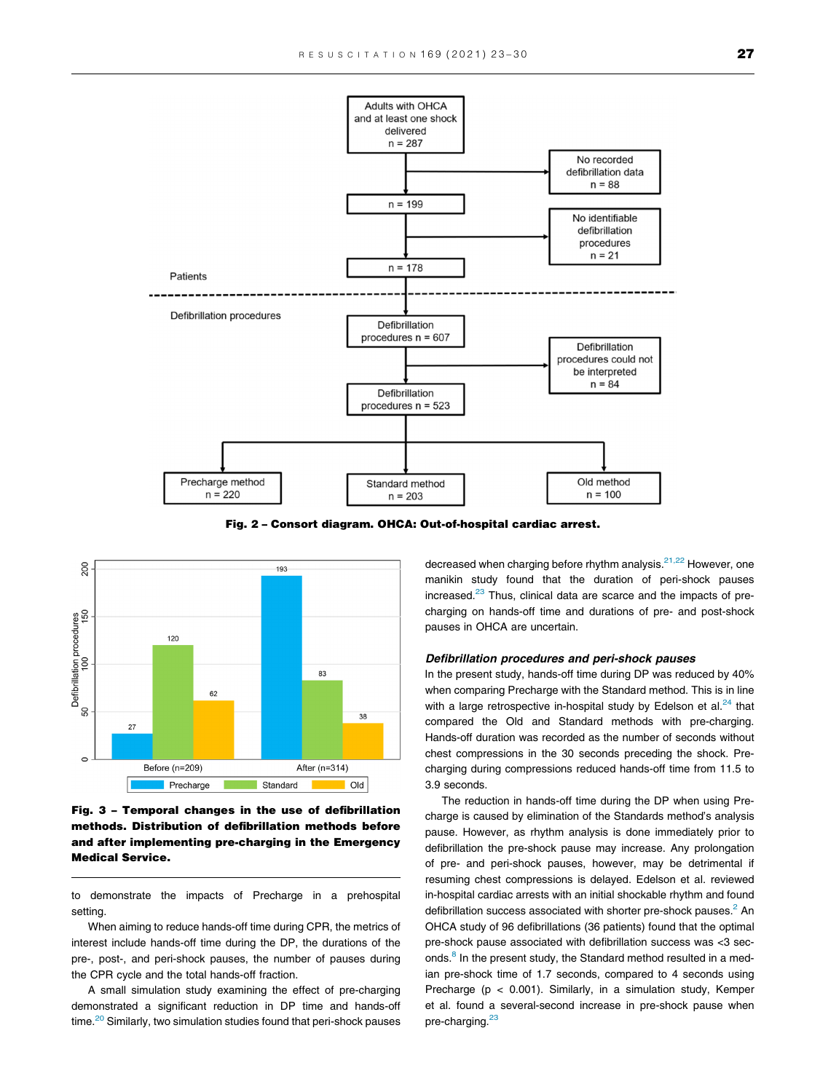<span id="page-4-0"></span>

Fig. 2 – Consort diagram. OHCA: Out-of-hospital cardiac arrest.



Fig. 3 – Temporal changes in the use of defibrillation methods. Distribution of defibrillation methods before and after implementing pre-charging in the Emergency Medical Service.

to demonstrate the impacts of Precharge in a prehospital setting.

When aiming to reduce hands-off time during CPR, the metrics of interest include hands-off time during the DP, the durations of the pre-, post-, and peri-shock pauses, the number of pauses during the CPR cycle and the total hands-off fraction.

A small simulation study examining the effect of pre-charging demonstrated a significant reduction in DP time and hands-off time.<sup>20</sup> Similarly, two simulation studies found that peri-shock pauses decreased when charging before rhythm analysis. $21,22$  However, one manikin study found that the duration of peri-shock pauses increased.<sup>[23](#page-7-0)</sup> Thus, clinical data are scarce and the impacts of precharging on hands-off time and durations of pre- and post-shock pauses in OHCA are uncertain.

# Defibrillation procedures and peri-shock pauses

In the present study, hands-off time during DP was reduced by 40% when comparing Precharge with the Standard method. This is in line with a large retrospective in-hospital study by Edelson et al. $24$  that compared the Old and Standard methods with pre-charging. Hands-off duration was recorded as the number of seconds without chest compressions in the 30 seconds preceding the shock. Precharging during compressions reduced hands-off time from 11.5 to 3.9 seconds.

The reduction in hands-off time during the DP when using Precharge is caused by elimination of the Standards method's analysis pause. However, as rhythm analysis is done immediately prior to defibrillation the pre-shock pause may increase. Any prolongation of pre- and peri-shock pauses, however, may be detrimental if resuming chest compressions is delayed. Edelson et al. reviewed in-hospital cardiac arrests with an initial shockable rhythm and found defibrillation success associated with shorter pre-shock pauses. $<sup>2</sup>$  $<sup>2</sup>$  $<sup>2</sup>$  An</sup> OHCA study of 96 defibrillations (36 patients) found that the optimal pre-shock pause associated with defibrillation success was <3 seconds.<sup>8</sup> In the present study, the Standard method resulted in a median pre-shock time of 1.7 seconds, compared to 4 seconds using Precharge (p < 0.001). Similarly, in a simulation study, Kemper et al. found a several-second increase in pre-shock pause when pre-charging.<sup>[23](#page-7-0)</sup>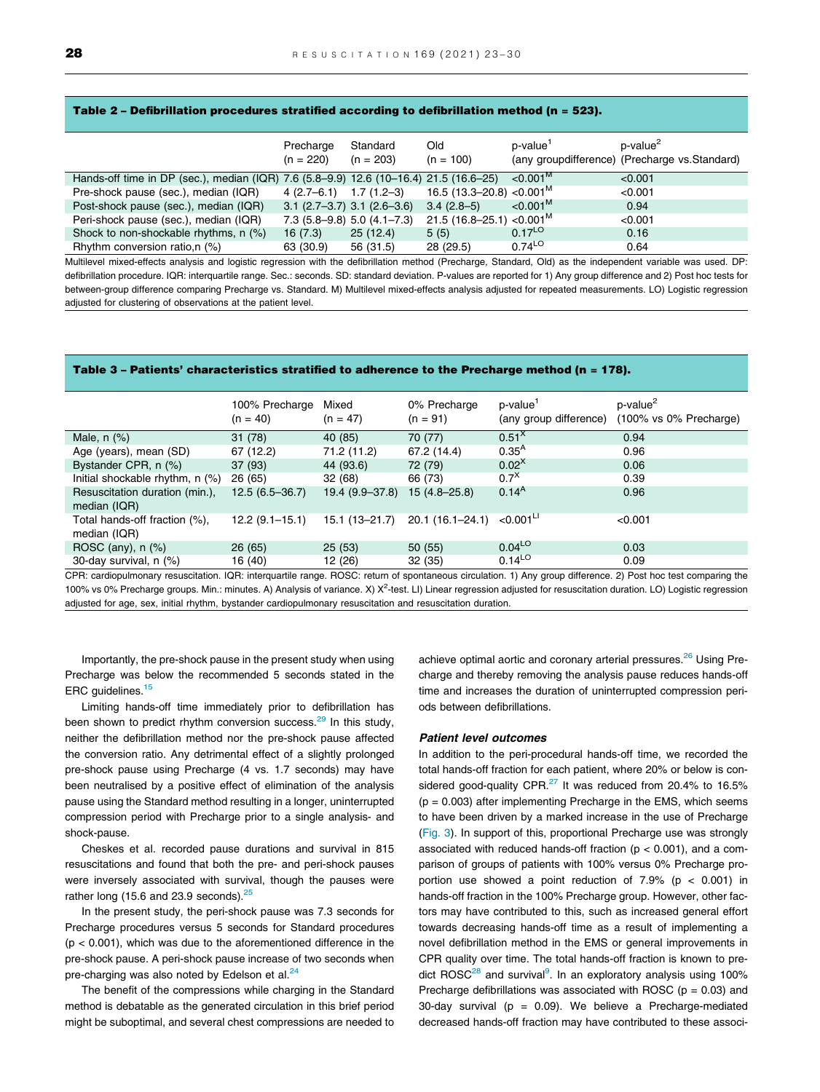#### <span id="page-5-0"></span>Table 2 – Defibrillation procedures stratified according to defibrillation method (n = 523).

|                                                                                       | Precharge<br>$(n = 220)$       | Standard<br>$(n = 203)$ | Old<br>$(n = 100)$                    | p-value <sup>1</sup> | p-value <sup>2</sup><br>(any group difference) (Precharge vs. Standard) |
|---------------------------------------------------------------------------------------|--------------------------------|-------------------------|---------------------------------------|----------------------|-------------------------------------------------------------------------|
| Hands-off time in DP (sec.), median (IQR) 7.6 (5.8–9.9) 12.6 (10–16.4) 21.5 (16.6–25) |                                |                         |                                       | $< 0.001^{\rm M}$    | < 0.001                                                                 |
| Pre-shock pause (sec.), median (IQR)                                                  | $4(2.7-6.1)$ 1.7 (1.2-3)       |                         | 16.5 (13.3–20.8) <0.001 <sup>M</sup>  |                      | < 0.001                                                                 |
| Post-shock pause (sec.), median (IQR)                                                 | $3.1$ (2.7–3.7) 3.1 (2.6–3.6)  |                         | $3.4(2.8-5)$                          | $< 0.001^{\rm M}$    | 0.94                                                                    |
| Peri-shock pause (sec.), median (IQR)                                                 | $7.3(5.8-9.8)$ 5.0 $(4.1-7.3)$ |                         | $21.5(16.8-25.1)$ <0.001 <sup>M</sup> |                      | < 0.001                                                                 |
| Shock to non-shockable rhythms, n (%)                                                 | 16(7.3)                        | 25(12.4)                | 5(5)                                  | $0.17^{LO}$          | 0.16                                                                    |
| Rhythm conversion ratio, n (%)                                                        | 63 (30.9)                      | 56 (31.5)               | 28 (29.5)                             | $0.74^{LO}$          | 0.64                                                                    |

Multilevel mixed-effects analysis and logistic regression with the defibrillation method (Precharge, Standard, Old) as the independent variable was used. DP: defibrillation procedure. IQR: interquartile range. Sec.: seconds. SD: standard deviation. P-values are reported for 1) Any group difference and 2) Post hoc tests for between-group difference comparing Precharge vs. Standard. M) Multilevel mixed-effects analysis adjusted for repeated measurements. LO) Logistic regression adjusted for clustering of observations at the patient level.

# Table 3 – Patients' characteristics stratified to adherence to the Precharge method (n = 178).

|                                                | 100% Precharge<br>$(n = 40)$ | Mixed<br>$(n = 47)$ | 0% Precharge<br>$(n = 91)$ | p-value <sup>1</sup><br>(any group difference) | p-value <sup>2</sup><br>$(100\% \text{ vs } 0\% \text{ Precharge})$ |
|------------------------------------------------|------------------------------|---------------------|----------------------------|------------------------------------------------|---------------------------------------------------------------------|
| Male, $n$ $(\%)$                               | 31(78)                       | 40 (85)             | 70 (77)                    | 0.51 <sup>x</sup>                              | 0.94                                                                |
| Age (years), mean (SD)                         | 67 (12.2)                    | 71.2 (11.2)         | 67.2 (14.4)                | $0.35^{A}$                                     | 0.96                                                                |
| Bystander CPR, n (%)                           | 37(93)                       | 44 (93.6)           | 72 (79)                    | $0.02^{X}$                                     | 0.06                                                                |
| Initial shockable rhythm, n (%)                | 26 (65)                      | 32(68)              | 66 (73)                    | $0.7^{\text{X}}$                               | 0.39                                                                |
| Resuscitation duration (min.),<br>median (IQR) | $12.5(6.5-36.7)$             | 19.4 (9.9–37.8)     | $15(4.8 - 25.8)$           | $0.14^{A}$                                     | 0.96                                                                |
| Total hands-off fraction (%),<br>median (IQR)  | $12.2(9.1-15.1)$             | 15.1 (13–21.7)      | $20.1(16.1 - 24.1)$        | $< 0.001$ <sup>LI</sup>                        | < 0.001                                                             |
| ROSC (any), $n$ (%)                            | 26(65)                       | 25(53)              | 50(55)                     | $0.04^{LO}$                                    | 0.03                                                                |
| 30-day survival, n (%)                         | 16 (40)                      | 12 (26)             | 32(35)                     | $0.14^{LO}$                                    | 0.09                                                                |
|                                                |                              |                     |                            |                                                |                                                                     |

CPR: cardiopulmonary resuscitation. IQR: interquartile range. ROSC: return of spontaneous circulation. 1) Any group difference. 2) Post hoc test comparing the 100% vs 0% Precharge groups. Min.: minutes. A) Analysis of variance. X) X<sup>2</sup>-test. LI) Linear regression adjusted for resuscitation duration. LO) Logistic regression adjusted for age, sex, initial rhythm, bystander cardiopulmonary resuscitation and resuscitation duration.

Importantly, the pre-shock pause in the present study when using Precharge was below the recommended 5 seconds stated in the ERC guidelines.<sup>15</sup>

Limiting hands-off time immediately prior to defibrillation has been shown to predict rhythm conversion success.<sup>29</sup> In this study, neither the defibrillation method nor the pre-shock pause affected the conversion ratio. Any detrimental effect of a slightly prolonged pre-shock pause using Precharge (4 vs. 1.7 seconds) may have been neutralised by a positive effect of elimination of the analysis pause using the Standard method resulting in a longer, uninterrupted compression period with Precharge prior to a single analysis- and shock-pause.

Cheskes et al. recorded pause durations and survival in 815 resuscitations and found that both the pre- and peri-shock pauses were inversely associated with survival, though the pauses were rather long (15.6 and 23.9 seconds).<sup>[25](#page-7-0)</sup>

In the present study, the peri-shock pause was 7.3 seconds for Precharge procedures versus 5 seconds for Standard procedures  $(p < 0.001)$ , which was due to the aforementioned difference in the pre-shock pause. A peri-shock pause increase of two seconds when pre-charging was also noted by Edelson et al. $24$ 

The benefit of the compressions while charging in the Standard method is debatable as the generated circulation in this brief period might be suboptimal, and several chest compressions are needed to

achieve optimal aortic and coronary arterial pressures.<sup>[26](#page-7-0)</sup> Using Precharge and thereby removing the analysis pause reduces hands-off time and increases the duration of uninterrupted compression periods between defibrillations.

#### Patient level outcomes

In addition to the peri-procedural hands-off time, we recorded the total hands-off fraction for each patient, where 20% or below is con-sidered good-quality CPR.<sup>[27](#page-7-0)</sup> It was reduced from 20.4% to 16.5%  $(p = 0.003)$  after implementing Precharge in the EMS, which seems to have been driven by a marked increase in the use of Precharge ([Fig. 3](#page-4-0)). In support of this, proportional Precharge use was strongly associated with reduced hands-off fraction ( $p < 0.001$ ), and a comparison of groups of patients with 100% versus 0% Precharge proportion use showed a point reduction of  $7.9\%$  (p < 0.001) in hands-off fraction in the 100% Precharge group. However, other factors may have contributed to this, such as increased general effort towards decreasing hands-off time as a result of implementing a novel defibrillation method in the EMS or general improvements in CPR quality over time. The total hands-off fraction is known to pre-dict ROSC<sup>[28](#page-7-0)</sup> and survival<sup>9</sup>. In an exploratory analysis using 100% Precharge defibrillations was associated with ROSC ( $p = 0.03$ ) and 30-day survival ( $p = 0.09$ ). We believe a Precharge-mediated decreased hands-off fraction may have contributed to these associ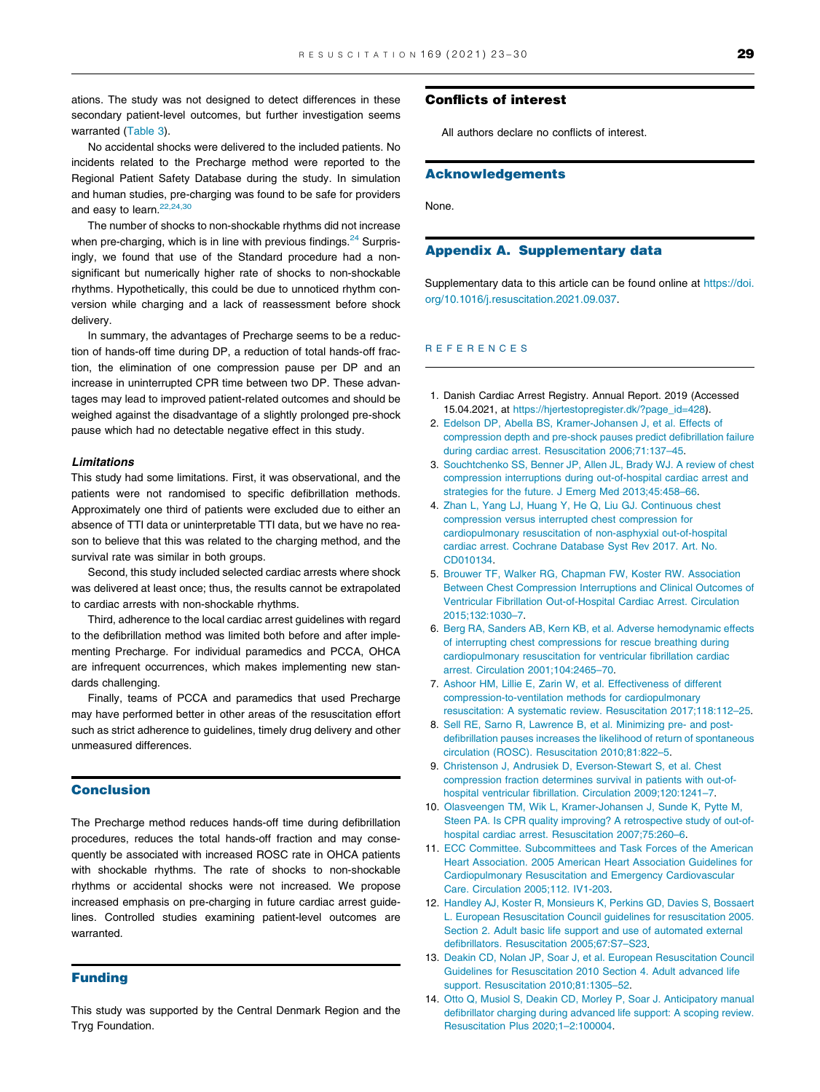<span id="page-6-0"></span>ations. The study was not designed to detect differences in these secondary patient-level outcomes, but further investigation seems warranted [\(Table 3](#page-5-0)).

No accidental shocks were delivered to the included patients. No incidents related to the Precharge method were reported to the Regional Patient Safety Database during the study. In simulation and human studies, pre-charging was found to be safe for providers and easy to learn.<sup>22,24,30</sup>

The number of shocks to non-shockable rhythms did not increase when pre-charging, which is in line with previous findings.<sup>24</sup> Surprisingly, we found that use of the Standard procedure had a nonsignificant but numerically higher rate of shocks to non-shockable rhythms. Hypothetically, this could be due to unnoticed rhythm conversion while charging and a lack of reassessment before shock delivery.

In summary, the advantages of Precharge seems to be a reduction of hands-off time during DP, a reduction of total hands-off fraction, the elimination of one compression pause per DP and an increase in uninterrupted CPR time between two DP. These advantages may lead to improved patient-related outcomes and should be weighed against the disadvantage of a slightly prolonged pre-shock pause which had no detectable negative effect in this study.

#### Limitations

This study had some limitations. First, it was observational, and the patients were not randomised to specific defibrillation methods. Approximately one third of patients were excluded due to either an absence of TTI data or uninterpretable TTI data, but we have no reason to believe that this was related to the charging method, and the survival rate was similar in both groups.

Second, this study included selected cardiac arrests where shock was delivered at least once; thus, the results cannot be extrapolated to cardiac arrests with non-shockable rhythms.

Third, adherence to the local cardiac arrest guidelines with regard to the defibrillation method was limited both before and after implementing Precharge. For individual paramedics and PCCA, OHCA are infrequent occurrences, which makes implementing new standards challenging.

Finally, teams of PCCA and paramedics that used Precharge may have performed better in other areas of the resuscitation effort such as strict adherence to guidelines, timely drug delivery and other unmeasured differences.

# Conclusion

The Precharge method reduces hands-off time during defibrillation procedures, reduces the total hands-off fraction and may consequently be associated with increased ROSC rate in OHCA patients with shockable rhythms. The rate of shocks to non-shockable rhythms or accidental shocks were not increased. We propose increased emphasis on pre-charging in future cardiac arrest guidelines. Controlled studies examining patient-level outcomes are warranted.

#### Funding

This study was supported by the Central Denmark Region and the Tryg Foundation.

# Conflicts of interest

All authors declare no conflicts of interest.

#### Acknowledgements

None.

# Appendix A. Supplementary data

Supplementary data to this article can be found online at [https://doi.](https://doi.org/10.1016/j.resuscitation.2021.09.037) [org/10.1016/j.resuscitation.2021.09.037.](https://doi.org/10.1016/j.resuscitation.2021.09.037)

## REFERENCES

- 1. Danish Cardiac Arrest Registry. Annual Report. 2019 (Accessed 15.04.2021, at [https://hjertestopregister.dk/?page\\_id=428](https://hjertestopregister.dk/?page_id=428)).
- 2. [Edelson DP, Abella BS, Kramer-Johansen J, et al. Effects of](http://refhub.elsevier.com/S0300-9572(21)00393-2/h0010) [compression depth and pre-shock pauses predict defibrillation failure](http://refhub.elsevier.com/S0300-9572(21)00393-2/h0010) [during cardiac arrest. Resuscitation 2006;71:137–45.](http://refhub.elsevier.com/S0300-9572(21)00393-2/h0010)
- 3. [Souchtchenko SS, Benner JP, Allen JL, Brady WJ. A review of chest](http://refhub.elsevier.com/S0300-9572(21)00393-2/h0015) [compression interruptions during out-of-hospital cardiac arrest and](http://refhub.elsevier.com/S0300-9572(21)00393-2/h0015) [strategies for the future. J Emerg Med 2013;45:458–66](http://refhub.elsevier.com/S0300-9572(21)00393-2/h0015).
- 4. [Zhan L, Yang LJ, Huang Y, He Q, Liu GJ. Continuous chest](http://refhub.elsevier.com/S0300-9572(21)00393-2/h0020) [compression versus interrupted chest compression for](http://refhub.elsevier.com/S0300-9572(21)00393-2/h0020) [cardiopulmonary resuscitation of non-asphyxial out-of-hospital](http://refhub.elsevier.com/S0300-9572(21)00393-2/h0020) [cardiac arrest. Cochrane Database Syst Rev 2017. Art. No.](http://refhub.elsevier.com/S0300-9572(21)00393-2/h0020) [CD010134.](http://refhub.elsevier.com/S0300-9572(21)00393-2/h0020)
- 5. [Brouwer TF, Walker RG, Chapman FW, Koster RW. Association](http://refhub.elsevier.com/S0300-9572(21)00393-2/h0025) [Between Chest Compression Interruptions and Clinical Outcomes of](http://refhub.elsevier.com/S0300-9572(21)00393-2/h0025) [Ventricular Fibrillation Out-of-Hospital Cardiac Arrest. Circulation](http://refhub.elsevier.com/S0300-9572(21)00393-2/h0025) [2015;132:1030–7](http://refhub.elsevier.com/S0300-9572(21)00393-2/h0025).
- 6. [Berg RA, Sanders AB, Kern KB, et al. Adverse hemodynamic effects](http://refhub.elsevier.com/S0300-9572(21)00393-2/h0030) [of interrupting chest compressions for rescue breathing during](http://refhub.elsevier.com/S0300-9572(21)00393-2/h0030) [cardiopulmonary resuscitation for ventricular fibrillation cardiac](http://refhub.elsevier.com/S0300-9572(21)00393-2/h0030) [arrest. Circulation 2001;104:2465–70.](http://refhub.elsevier.com/S0300-9572(21)00393-2/h0030)
- 7. [Ashoor HM, Lillie E, Zarin W, et al. Effectiveness of different](http://refhub.elsevier.com/S0300-9572(21)00393-2/h0035) [compression-to-ventilation methods for cardiopulmonary](http://refhub.elsevier.com/S0300-9572(21)00393-2/h0035) [resuscitation: A systematic review. Resuscitation 2017;118:112–25](http://refhub.elsevier.com/S0300-9572(21)00393-2/h0035).
- 8. [Sell RE, Sarno R, Lawrence B, et al. Minimizing pre- and post](http://refhub.elsevier.com/S0300-9572(21)00393-2/h0040)[defibrillation pauses increases the likelihood of return of spontaneous](http://refhub.elsevier.com/S0300-9572(21)00393-2/h0040) [circulation \(ROSC\). Resuscitation 2010;81:822–5](http://refhub.elsevier.com/S0300-9572(21)00393-2/h0040).
- 9. [Christenson J, Andrusiek D, Everson-Stewart S, et al. Chest](http://refhub.elsevier.com/S0300-9572(21)00393-2/h0045) [compression fraction determines survival in patients with out-of](http://refhub.elsevier.com/S0300-9572(21)00393-2/h0045)[hospital ventricular fibrillation. Circulation 2009;120:1241–7.](http://refhub.elsevier.com/S0300-9572(21)00393-2/h0045)
- 10. [Olasveengen TM, Wik L, Kramer-Johansen J, Sunde K, Pytte M,](http://refhub.elsevier.com/S0300-9572(21)00393-2/h0050) [Steen PA. Is CPR quality improving? A retrospective study of out-of](http://refhub.elsevier.com/S0300-9572(21)00393-2/h0050)[hospital cardiac arrest. Resuscitation 2007;75:260–6.](http://refhub.elsevier.com/S0300-9572(21)00393-2/h0050)
- 11. [ECC Committee. Subcommittees and Task Forces of the American](http://refhub.elsevier.com/S0300-9572(21)00393-2/h0055) [Heart Association. 2005 American Heart Association Guidelines for](http://refhub.elsevier.com/S0300-9572(21)00393-2/h0055) [Cardiopulmonary Resuscitation and Emergency Cardiovascular](http://refhub.elsevier.com/S0300-9572(21)00393-2/h0055) [Care. Circulation 2005;112. IV1-203.](http://refhub.elsevier.com/S0300-9572(21)00393-2/h0055)
- 12. [Handley AJ, Koster R, Monsieurs K, Perkins GD, Davies S, Bossaert](http://refhub.elsevier.com/S0300-9572(21)00393-2/h0060) [L. European Resuscitation Council guidelines for resuscitation 2005.](http://refhub.elsevier.com/S0300-9572(21)00393-2/h0060) [Section 2. Adult basic life support and use of automated external](http://refhub.elsevier.com/S0300-9572(21)00393-2/h0060) [defibrillators. Resuscitation 2005;67:S7–S23](http://refhub.elsevier.com/S0300-9572(21)00393-2/h0060).
- 13. [Deakin CD, Nolan JP, Soar J, et al. European Resuscitation Council](http://refhub.elsevier.com/S0300-9572(21)00393-2/h0065) [Guidelines for Resuscitation 2010 Section 4. Adult advanced life](http://refhub.elsevier.com/S0300-9572(21)00393-2/h0065) [support. Resuscitation 2010;81:1305–52](http://refhub.elsevier.com/S0300-9572(21)00393-2/h0065).
- 14. [Otto Q, Musiol S, Deakin CD, Morley P, Soar J. Anticipatory manual](http://refhub.elsevier.com/S0300-9572(21)00393-2/h0070) [defibrillator charging during advanced life support: A scoping review.](http://refhub.elsevier.com/S0300-9572(21)00393-2/h0070) [Resuscitation Plus 2020;1–2:100004.](http://refhub.elsevier.com/S0300-9572(21)00393-2/h0070)